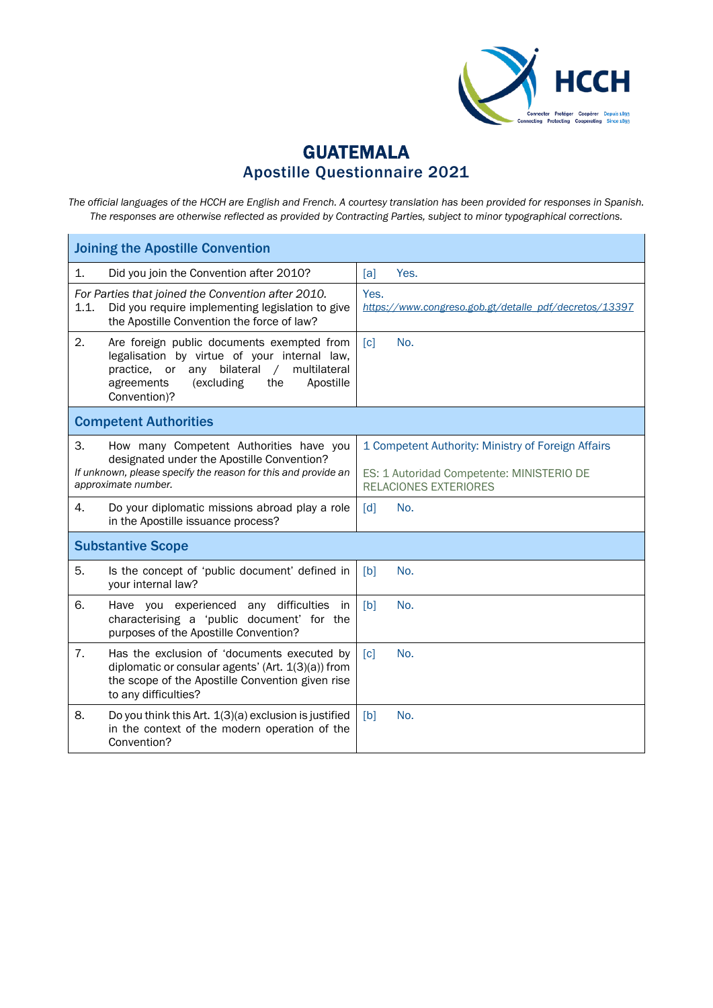

## GUATEMALA Apostille Questionnaire 2021

*The official languages of the HCCH are English and French. A courtesy translation has been provided for responses in Spanish. The responses are otherwise reflected as provided by Contracting Parties, subject to minor typographical corrections.*

| <b>Joining the Apostille Convention</b>                                                                                                                                                                                            |                                                                                                                                 |
|------------------------------------------------------------------------------------------------------------------------------------------------------------------------------------------------------------------------------------|---------------------------------------------------------------------------------------------------------------------------------|
| 1.<br>Did you join the Convention after 2010?                                                                                                                                                                                      | Yes.<br>[a]                                                                                                                     |
| For Parties that joined the Convention after 2010.<br>Did you require implementing legislation to give<br>1.1.<br>the Apostille Convention the force of law?                                                                       | Yes.<br>https://www.congreso.gob.gt/detalle_pdf/decretos/13397                                                                  |
| 2.<br>Are foreign public documents exempted from<br>legalisation by virtue of your internal law,<br>bilateral<br>practice, or<br>any<br>$\sqrt{2}$<br>multilateral<br>agreements<br>(excluding<br>the<br>Apostille<br>Convention)? | No.<br>$\lceil c \rceil$                                                                                                        |
| <b>Competent Authorities</b>                                                                                                                                                                                                       |                                                                                                                                 |
| 3.<br>How many Competent Authorities have you<br>designated under the Apostille Convention?<br>If unknown, please specify the reason for this and provide an<br>approximate number.                                                | 1 Competent Authority: Ministry of Foreign Affairs<br>ES: 1 Autoridad Competente: MINISTERIO DE<br><b>RELACIONES EXTERIORES</b> |
| 4.<br>Do your diplomatic missions abroad play a role<br>in the Apostille issuance process?                                                                                                                                         | $\lceil d \rceil$<br>No.                                                                                                        |
| <b>Substantive Scope</b>                                                                                                                                                                                                           |                                                                                                                                 |
| 5.<br>Is the concept of 'public document' defined in<br>your internal law?                                                                                                                                                         | [b]<br>No.                                                                                                                      |
| 6.<br>Have you experienced any difficulties<br>in<br>characterising a 'public document' for the<br>purposes of the Apostille Convention?                                                                                           | [b]<br>No.                                                                                                                      |
| 7.<br>Has the exclusion of 'documents executed by<br>diplomatic or consular agents' (Art. 1(3)(a)) from<br>the scope of the Apostille Convention given rise<br>to any difficulties?                                                | No.<br>[c]                                                                                                                      |
| 8.<br>Do you think this Art. 1(3)(a) exclusion is justified<br>in the context of the modern operation of the<br>Convention?                                                                                                        | No.<br>[b]                                                                                                                      |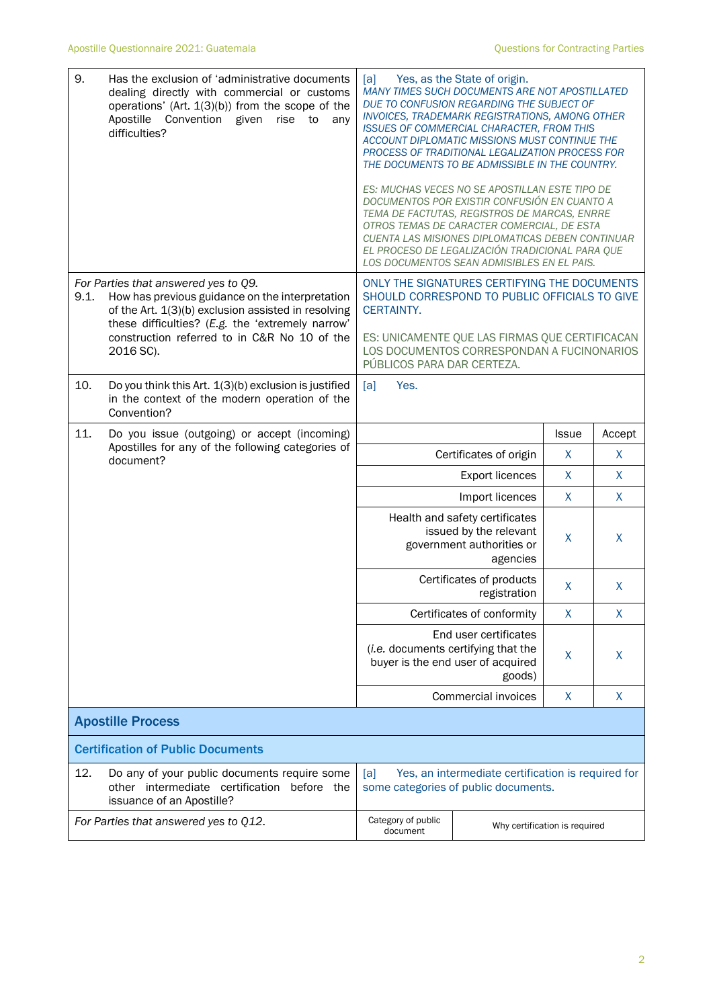| 9.                                       | Has the exclusion of 'administrative documents<br>dealing directly with commercial or customs<br>operations' (Art. 1(3)(b)) from the scope of the<br>Apostille<br>Convention given<br>rise<br>to<br>any<br>difficulties? | [a]<br>Yes, as the State of origin.<br>MANY TIMES SUCH DOCUMENTS ARE NOT APOSTILLATED<br>DUE TO CONFUSION REGARDING THE SUBJECT OF<br>INVOICES, TRADEMARK REGISTRATIONS, AMONG OTHER<br><b>ISSUES OF COMMERCIAL CHARACTER, FROM THIS</b><br>ACCOUNT DIPLOMATIC MISSIONS MUST CONTINUE THE<br>PROCESS OF TRADITIONAL LEGALIZATION PROCESS FOR<br>THE DOCUMENTS TO BE ADMISSIBLE IN THE COUNTRY. |                                                                                              |              |        |
|------------------------------------------|--------------------------------------------------------------------------------------------------------------------------------------------------------------------------------------------------------------------------|------------------------------------------------------------------------------------------------------------------------------------------------------------------------------------------------------------------------------------------------------------------------------------------------------------------------------------------------------------------------------------------------|----------------------------------------------------------------------------------------------|--------------|--------|
|                                          |                                                                                                                                                                                                                          | ES: MUCHAS VECES NO SE APOSTILLAN ESTE TIPO DE<br>DOCUMENTOS POR EXISTIR CONFUSIÓN EN CUANTO A<br>TEMA DE FACTUTAS, REGISTROS DE MARCAS, ENRRE<br>OTROS TEMAS DE CARACTER COMERCIAL, DE ESTA<br>CUENTA LAS MISIONES DIPLOMATICAS DEBEN CONTINUAR<br>EL PROCESO DE LEGALIZACIÓN TRADICIONAL PARA QUE<br>LOS DOCUMENTOS SEAN ADMISIBLES EN EL PAIS.                                              |                                                                                              |              |        |
| 9.1.                                     | For Parties that answered yes to Q9.<br>How has previous guidance on the interpretation                                                                                                                                  | ONLY THE SIGNATURES CERTIFYING THE DOCUMENTS<br>SHOULD CORRESPOND TO PUBLIC OFFICIALS TO GIVE                                                                                                                                                                                                                                                                                                  |                                                                                              |              |        |
|                                          | of the Art. 1(3)(b) exclusion assisted in resolving<br>these difficulties? (E.g. the 'extremely narrow'                                                                                                                  | CERTAINTY.                                                                                                                                                                                                                                                                                                                                                                                     |                                                                                              |              |        |
|                                          | construction referred to in C&R No 10 of the<br>2016 SC).                                                                                                                                                                | PÚBLICOS PARA DAR CERTEZA.                                                                                                                                                                                                                                                                                                                                                                     | ES: UNICAMENTE QUE LAS FIRMAS QUE CERTIFICACAN<br>LOS DOCUMENTOS CORRESPONDAN A FUCINONARIOS |              |        |
| 10.                                      | Do you think this Art. 1(3)(b) exclusion is justified<br>in the context of the modern operation of the<br>Convention?                                                                                                    | Yes.<br>[a]                                                                                                                                                                                                                                                                                                                                                                                    |                                                                                              |              |        |
| 11.                                      | Do you issue (outgoing) or accept (incoming)<br>Apostilles for any of the following categories of                                                                                                                        |                                                                                                                                                                                                                                                                                                                                                                                                |                                                                                              | <b>Issue</b> | Accept |
|                                          | document?                                                                                                                                                                                                                |                                                                                                                                                                                                                                                                                                                                                                                                | Certificates of origin                                                                       | X            | X      |
|                                          |                                                                                                                                                                                                                          |                                                                                                                                                                                                                                                                                                                                                                                                | Export licences                                                                              | $\mathsf{X}$ | X      |
|                                          |                                                                                                                                                                                                                          |                                                                                                                                                                                                                                                                                                                                                                                                | Import licences                                                                              | X            | X      |
|                                          |                                                                                                                                                                                                                          | Health and safety certificates<br>issued by the relevant<br>government authorities or<br>agencies                                                                                                                                                                                                                                                                                              |                                                                                              | X.           | X      |
|                                          |                                                                                                                                                                                                                          |                                                                                                                                                                                                                                                                                                                                                                                                | Certificates of products<br>registration                                                     | X            | X      |
|                                          |                                                                                                                                                                                                                          |                                                                                                                                                                                                                                                                                                                                                                                                | Certificates of conformity                                                                   | X            | X      |
|                                          |                                                                                                                                                                                                                          | (i.e. documents certifying that the                                                                                                                                                                                                                                                                                                                                                            | End user certificates<br>buyer is the end user of acquired<br>goods)                         | X            | X      |
|                                          |                                                                                                                                                                                                                          |                                                                                                                                                                                                                                                                                                                                                                                                | <b>Commercial invoices</b>                                                                   | $\mathsf{X}$ | X      |
|                                          | <b>Apostille Process</b>                                                                                                                                                                                                 |                                                                                                                                                                                                                                                                                                                                                                                                |                                                                                              |              |        |
| <b>Certification of Public Documents</b> |                                                                                                                                                                                                                          |                                                                                                                                                                                                                                                                                                                                                                                                |                                                                                              |              |        |
| 12.                                      | Do any of your public documents require some<br>other intermediate certification<br>before the<br>issuance of an Apostille?                                                                                              | Yes, an intermediate certification is required for<br>[a]<br>some categories of public documents.                                                                                                                                                                                                                                                                                              |                                                                                              |              |        |
|                                          | For Parties that answered yes to Q12.                                                                                                                                                                                    | Category of public<br>Why certification is required<br>document                                                                                                                                                                                                                                                                                                                                |                                                                                              |              |        |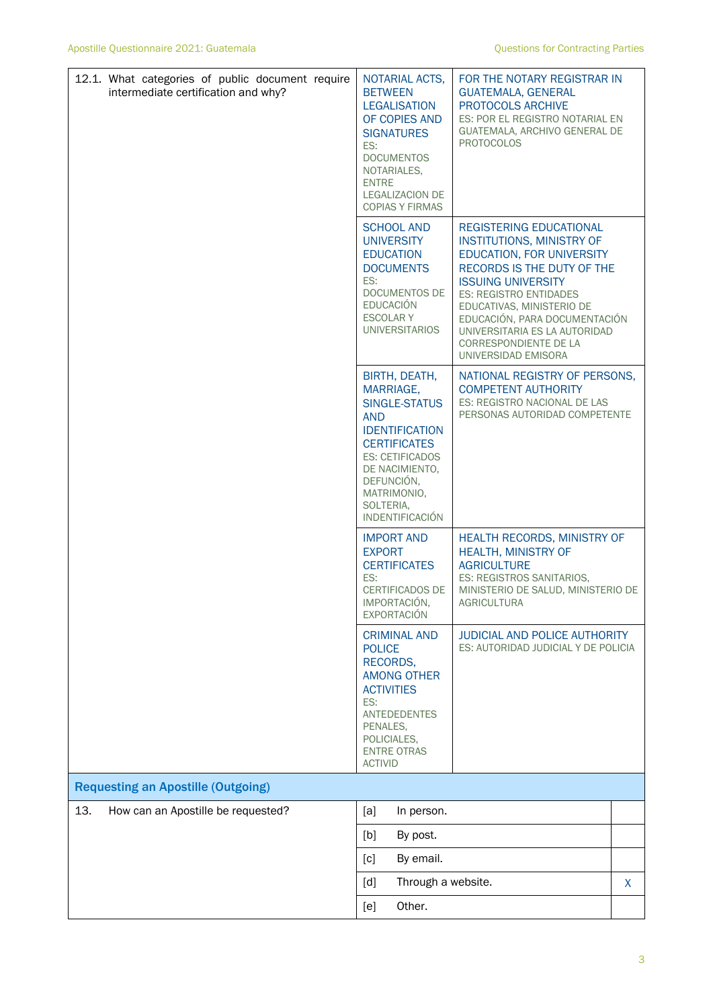| 12.1. What categories of public document require<br>intermediate certification and why? | NOTARIAL ACTS,<br><b>BETWEEN</b><br><b>LEGALISATION</b><br>OF COPIES AND<br><b>SIGNATURES</b><br>ES:<br><b>DOCUMENTOS</b><br>NOTARIALES,<br><b>ENTRE</b><br><b>LEGALIZACION DE</b><br><b>COPIAS Y FIRMAS</b>                     | FOR THE NOTARY REGISTRAR IN<br><b>GUATEMALA, GENERAL</b><br>PROTOCOLS ARCHIVE<br>ES: POR EL REGISTRO NOTARIAL EN<br>GUATEMALA, ARCHIVO GENERAL DE<br><b>PROTOCOLOS</b>                                                                                                                                                                            |   |  |
|-----------------------------------------------------------------------------------------|----------------------------------------------------------------------------------------------------------------------------------------------------------------------------------------------------------------------------------|---------------------------------------------------------------------------------------------------------------------------------------------------------------------------------------------------------------------------------------------------------------------------------------------------------------------------------------------------|---|--|
|                                                                                         | <b>SCHOOL AND</b><br><b>UNIVERSITY</b><br><b>EDUCATION</b><br><b>DOCUMENTS</b><br>ES:<br><b>DOCUMENTOS DE</b><br><b>EDUCACIÓN</b><br><b>ESCOLARY</b><br><b>UNIVERSITARIOS</b>                                                    | <b>REGISTERING EDUCATIONAL</b><br><b>INSTITUTIONS, MINISTRY OF</b><br>EDUCATION, FOR UNIVERSITY<br>RECORDS IS THE DUTY OF THE<br><b>ISSUING UNIVERSITY</b><br><b>ES: REGISTRO ENTIDADES</b><br>EDUCATIVAS, MINISTERIO DE<br>EDUCACIÓN, PARA DOCUMENTACIÓN<br>UNIVERSITARIA ES LA AUTORIDAD<br><b>CORRESPONDIENTE DE LA</b><br>UNIVERSIDAD EMISORA |   |  |
|                                                                                         | BIRTH, DEATH,<br>MARRIAGE,<br><b>SINGLE-STATUS</b><br><b>AND</b><br><b>IDENTIFICATION</b><br><b>CERTIFICATES</b><br><b>ES: CETIFICADOS</b><br>DE NACIMIENTO,<br>DEFUNCIÓN,<br>MATRIMONIO,<br>SOLTERIA,<br><b>INDENTIFICACIÓN</b> | NATIONAL REGISTRY OF PERSONS,<br><b>COMPETENT AUTHORITY</b><br>ES: REGISTRO NACIONAL DE LAS<br>PERSONAS AUTORIDAD COMPETENTE                                                                                                                                                                                                                      |   |  |
|                                                                                         | <b>IMPORT AND</b><br><b>EXPORT</b><br><b>CERTIFICATES</b><br>ES:<br><b>CERTIFICADOS DE</b><br>IMPORTACIÓN,<br><b>EXPORTACIÓN</b>                                                                                                 | HEALTH RECORDS, MINISTRY OF<br><b>HEALTH, MINISTRY OF</b><br><b>AGRICULTURE</b><br>ES: REGISTROS SANITARIOS,<br>MINISTERIO DE SALUD, MINISTERIO DE<br>AGRICULTURA                                                                                                                                                                                 |   |  |
|                                                                                         | <b>CRIMINAL AND</b><br><b>POLICE</b><br>RECORDS,<br><b>AMONG OTHER</b><br><b>ACTIVITIES</b><br>ES:<br><b>ANTEDEDENTES</b><br>PENALES,<br>POLICIALES,<br><b>ENTRE OTRAS</b><br><b>ACTIVID</b>                                     | <b>JUDICIAL AND POLICE AUTHORITY</b><br>ES: AUTORIDAD JUDICIAL Y DE POLICIA                                                                                                                                                                                                                                                                       |   |  |
| <b>Requesting an Apostille (Outgoing)</b>                                               |                                                                                                                                                                                                                                  |                                                                                                                                                                                                                                                                                                                                                   |   |  |
| 13.<br>How can an Apostille be requested?                                               | [a]<br>In person.                                                                                                                                                                                                                |                                                                                                                                                                                                                                                                                                                                                   |   |  |
|                                                                                         | [b]<br>By post.                                                                                                                                                                                                                  |                                                                                                                                                                                                                                                                                                                                                   |   |  |
|                                                                                         | By email.<br>[c]                                                                                                                                                                                                                 |                                                                                                                                                                                                                                                                                                                                                   |   |  |
|                                                                                         | Through a website.<br>[d]                                                                                                                                                                                                        |                                                                                                                                                                                                                                                                                                                                                   | X |  |
|                                                                                         | Other.<br>[e]                                                                                                                                                                                                                    |                                                                                                                                                                                                                                                                                                                                                   |   |  |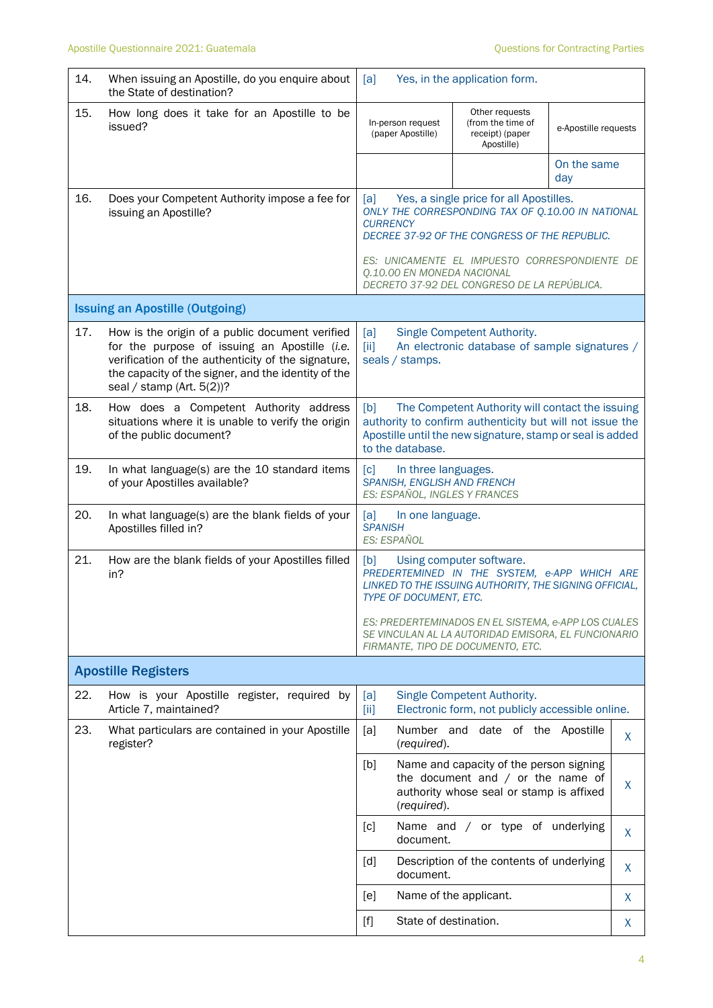| 14. | When issuing an Apostille, do you enquire about<br>the State of destination?                                                                                                                                                               | [a]                                                                                                                                                                                                                                                                                                   | Yes, in the application form.                                                                                              |                      |         |
|-----|--------------------------------------------------------------------------------------------------------------------------------------------------------------------------------------------------------------------------------------------|-------------------------------------------------------------------------------------------------------------------------------------------------------------------------------------------------------------------------------------------------------------------------------------------------------|----------------------------------------------------------------------------------------------------------------------------|----------------------|---------|
| 15. | How long does it take for an Apostille to be<br>issued?                                                                                                                                                                                    | In-person request<br>(paper Apostille)                                                                                                                                                                                                                                                                | Other requests<br>(from the time of<br>receipt) (paper<br>Apostille)                                                       | e-Apostille requests |         |
|     |                                                                                                                                                                                                                                            |                                                                                                                                                                                                                                                                                                       |                                                                                                                            | On the same<br>day   |         |
| 16. | Does your Competent Authority impose a fee for<br>issuing an Apostille?                                                                                                                                                                    | Yes, a single price for all Apostilles.<br>[a]<br>ONLY THE CORRESPONDING TAX OF Q.10.00 IN NATIONAL<br><b>CURRENCY</b><br>DECREE 37-92 OF THE CONGRESS OF THE REPUBLIC.<br>ES: UNICAMENTE EL IMPUESTO CORRESPONDIENTE DE<br>Q.10.00 EN MONEDA NACIONAL<br>DECRETO 37-92 DEL CONGRESO DE LA REPÚBLICA. |                                                                                                                            |                      |         |
|     | <b>Issuing an Apostille (Outgoing)</b>                                                                                                                                                                                                     |                                                                                                                                                                                                                                                                                                       |                                                                                                                            |                      |         |
| 17. | How is the origin of a public document verified<br>for the purpose of issuing an Apostille (i.e.<br>verification of the authenticity of the signature,<br>the capacity of the signer, and the identity of the<br>seal / stamp (Art. 5(2))? | [a]<br>[iii]<br>seals / stamps.                                                                                                                                                                                                                                                                       | Single Competent Authority.<br>An electronic database of sample signatures /                                               |                      |         |
| 18. | How does a Competent Authority address<br>situations where it is unable to verify the origin<br>of the public document?                                                                                                                    | The Competent Authority will contact the issuing<br>[b]<br>authority to confirm authenticity but will not issue the<br>Apostille until the new signature, stamp or seal is added<br>to the database.                                                                                                  |                                                                                                                            |                      |         |
| 19. | In what language(s) are the 10 standard items<br>of your Apostilles available?                                                                                                                                                             | $\lceil c \rceil$<br>In three languages.<br>SPANISH, ENGLISH AND FRENCH<br>ES: ESPAÑOL, INGLES Y FRANCES                                                                                                                                                                                              |                                                                                                                            |                      |         |
| 20. | In what language(s) are the blank fields of your<br>Apostilles filled in?                                                                                                                                                                  | [a]<br>In one language.<br><b>SPANISH</b><br>ES: ESPAÑOL                                                                                                                                                                                                                                              |                                                                                                                            |                      |         |
| 21. | How are the blank fields of your Apostilles filled<br>in?                                                                                                                                                                                  | [b]<br>Using computer software.<br>PREDERTEMINED IN THE SYSTEM, e-APP WHICH ARE<br>LINKED TO THE ISSUING AUTHORITY, THE SIGNING OFFICIAL,<br>TYPE OF DOCUMENT, ETC.                                                                                                                                   |                                                                                                                            |                      |         |
|     |                                                                                                                                                                                                                                            | ES: PREDERTEMINADOS EN EL SISTEMA, e-APP LOS CUALES<br>SE VINCULAN AL LA AUTORIDAD EMISORA, EL FUNCIONARIO<br>FIRMANTE, TIPO DE DOCUMENTO, ETC.                                                                                                                                                       |                                                                                                                            |                      |         |
|     | <b>Apostille Registers</b>                                                                                                                                                                                                                 |                                                                                                                                                                                                                                                                                                       |                                                                                                                            |                      |         |
| 22. | How is your Apostille register, required by<br>Article 7, maintained?                                                                                                                                                                      | [a]<br>$\left[\text{iii}\right]$                                                                                                                                                                                                                                                                      | Single Competent Authority.<br>Electronic form, not publicly accessible online.                                            |                      |         |
| 23. | What particulars are contained in your Apostille<br>register?                                                                                                                                                                              | [a]<br>(required).                                                                                                                                                                                                                                                                                    | Number and date of the Apostille                                                                                           |                      | $\sf X$ |
|     |                                                                                                                                                                                                                                            | [b]<br>(required).                                                                                                                                                                                                                                                                                    | Name and capacity of the person signing<br>the document and $/$ or the name of<br>authority whose seal or stamp is affixed |                      | X       |
|     |                                                                                                                                                                                                                                            | $\lceil c \rceil$<br>document.                                                                                                                                                                                                                                                                        | Name and / or type of underlying                                                                                           |                      | X       |
|     |                                                                                                                                                                                                                                            | $\lceil d \rceil$<br>document.                                                                                                                                                                                                                                                                        | Description of the contents of underlying                                                                                  |                      | X       |
|     |                                                                                                                                                                                                                                            | [e]                                                                                                                                                                                                                                                                                                   | Name of the applicant.                                                                                                     |                      | X       |
|     |                                                                                                                                                                                                                                            | State of destination.<br>$[f]$                                                                                                                                                                                                                                                                        |                                                                                                                            |                      | X.      |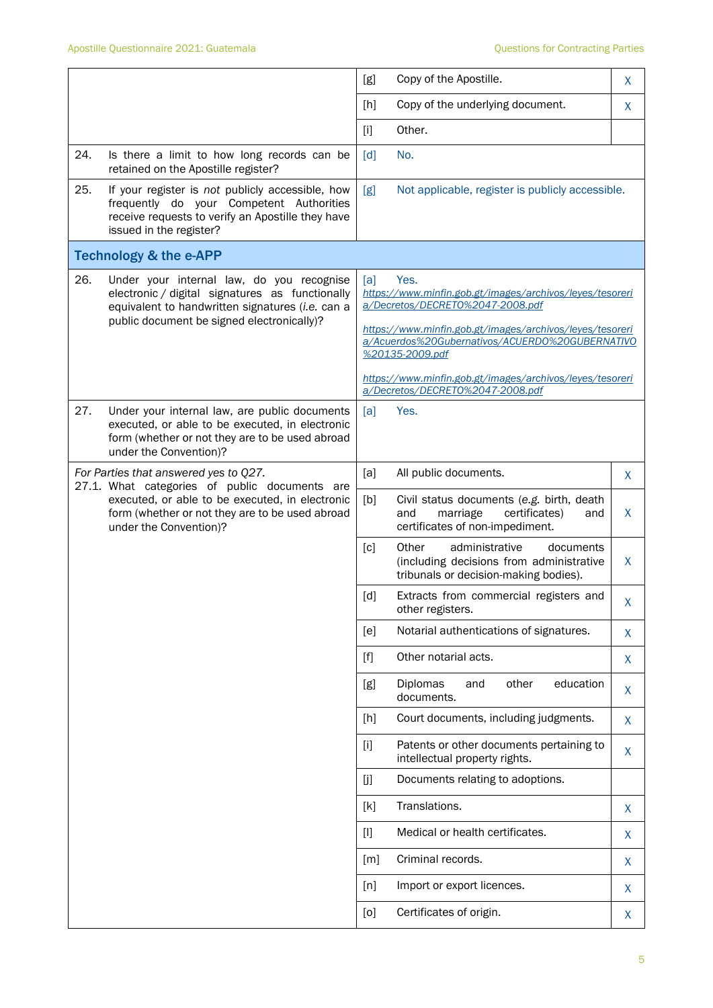|                                                                                                                                                         |                                                                                                                                                                               | [g]                                                                                                                            | Copy of the Apostille.                                                                                                    | X |  |
|---------------------------------------------------------------------------------------------------------------------------------------------------------|-------------------------------------------------------------------------------------------------------------------------------------------------------------------------------|--------------------------------------------------------------------------------------------------------------------------------|---------------------------------------------------------------------------------------------------------------------------|---|--|
|                                                                                                                                                         |                                                                                                                                                                               | [h]                                                                                                                            | Copy of the underlying document.                                                                                          | X |  |
|                                                                                                                                                         |                                                                                                                                                                               | $[1]$                                                                                                                          | Other.                                                                                                                    |   |  |
| 24.                                                                                                                                                     | Is there a limit to how long records can be<br>retained on the Apostille register?                                                                                            | [d]                                                                                                                            | No.                                                                                                                       |   |  |
| 25.                                                                                                                                                     | If your register is not publicly accessible, how<br>frequently do your Competent Authorities<br>receive requests to verify an Apostille they have<br>issued in the register?  | [g]                                                                                                                            | Not applicable, register is publicly accessible.                                                                          |   |  |
|                                                                                                                                                         | <b>Technology &amp; the e-APP</b>                                                                                                                                             |                                                                                                                                |                                                                                                                           |   |  |
| 26.<br>Under your internal law, do you recognise<br>electronic / digital signatures as functionally<br>equivalent to handwritten signatures (i.e. can a |                                                                                                                                                                               | [a]<br>Yes.<br>https://www.minfin.gob.gt/images/archivos/leyes/tesoreri<br>a/Decretos/DECRETO%2047-2008.pdf                    |                                                                                                                           |   |  |
|                                                                                                                                                         | public document be signed electronically)?                                                                                                                                    | https://www.minfin.gob.gt/images/archivos/leyes/tesoreri<br>a/Acuerdos%20Gubernativos/ACUERDO%20GUBERNATIVO<br>%20135-2009.pdf |                                                                                                                           |   |  |
|                                                                                                                                                         |                                                                                                                                                                               |                                                                                                                                | https://www.minfin.gob.gt/images/archivos/leyes/tesoreri<br>a/Decretos/DECRETO%2047-2008.pdf                              |   |  |
| 27.                                                                                                                                                     | Under your internal law, are public documents<br>executed, or able to be executed, in electronic<br>form (whether or not they are to be used abroad<br>under the Convention)? | [a]                                                                                                                            | Yes.                                                                                                                      |   |  |
| For Parties that answered yes to Q27.<br>27.1. What categories of public documents are                                                                  |                                                                                                                                                                               | [a]                                                                                                                            | All public documents.                                                                                                     | X |  |
|                                                                                                                                                         | executed, or able to be executed, in electronic<br>form (whether or not they are to be used abroad<br>under the Convention)?                                                  | [b]                                                                                                                            | Civil status documents (e.g. birth, death<br>marriage<br>certificates)<br>and<br>and<br>certificates of non-impediment.   | X |  |
|                                                                                                                                                         |                                                                                                                                                                               | [c]                                                                                                                            | Other<br>administrative<br>documents<br>(including decisions from administrative<br>tribunals or decision-making bodies). | X |  |
|                                                                                                                                                         |                                                                                                                                                                               | $\lceil d \rceil$                                                                                                              | Extracts from commercial registers and<br>other registers.                                                                | Χ |  |
|                                                                                                                                                         |                                                                                                                                                                               | [e]                                                                                                                            | Notarial authentications of signatures.                                                                                   | X |  |
|                                                                                                                                                         |                                                                                                                                                                               | $[f]$                                                                                                                          | Other notarial acts.                                                                                                      | X |  |
|                                                                                                                                                         |                                                                                                                                                                               | [g]                                                                                                                            | Diplomas<br>other<br>education<br>and<br>documents.                                                                       | X |  |
|                                                                                                                                                         |                                                                                                                                                                               | [h]                                                                                                                            | Court documents, including judgments.                                                                                     | X |  |
|                                                                                                                                                         |                                                                                                                                                                               | $[1]$                                                                                                                          | Patents or other documents pertaining to<br>intellectual property rights.                                                 | X |  |
|                                                                                                                                                         |                                                                                                                                                                               | [j]                                                                                                                            | Documents relating to adoptions.                                                                                          |   |  |
|                                                                                                                                                         |                                                                                                                                                                               | [k]                                                                                                                            | Translations.                                                                                                             | X |  |
|                                                                                                                                                         |                                                                                                                                                                               | $[1]$                                                                                                                          | Medical or health certificates.                                                                                           | X |  |
|                                                                                                                                                         |                                                                                                                                                                               | [m]                                                                                                                            | Criminal records.                                                                                                         | X |  |
|                                                                                                                                                         |                                                                                                                                                                               | [n]                                                                                                                            | Import or export licences.                                                                                                | X |  |
|                                                                                                                                                         |                                                                                                                                                                               | [0]                                                                                                                            | Certificates of origin.                                                                                                   | X |  |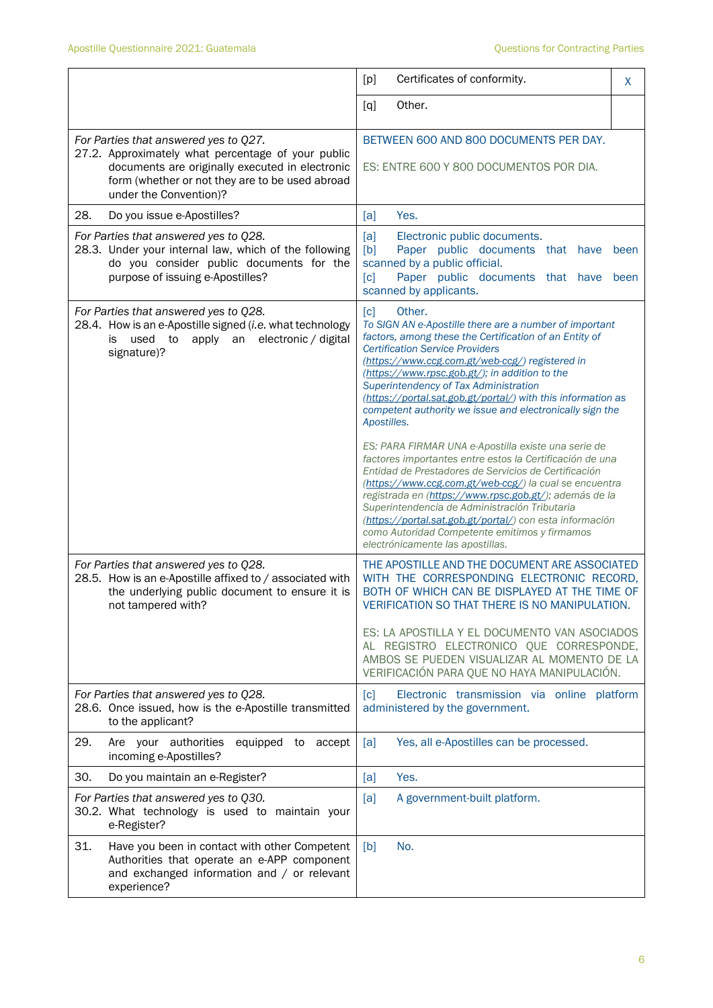|                                                                                                                                                                                                                             | Certificates of conformity.<br>[p]                                                                                                                                                                                                                                                                                                                                                                                                                                                            | X            |
|-----------------------------------------------------------------------------------------------------------------------------------------------------------------------------------------------------------------------------|-----------------------------------------------------------------------------------------------------------------------------------------------------------------------------------------------------------------------------------------------------------------------------------------------------------------------------------------------------------------------------------------------------------------------------------------------------------------------------------------------|--------------|
|                                                                                                                                                                                                                             | Other.<br>[q]                                                                                                                                                                                                                                                                                                                                                                                                                                                                                 |              |
| For Parties that answered yes to Q27.<br>27.2. Approximately what percentage of your public<br>documents are originally executed in electronic<br>form (whether or not they are to be used abroad<br>under the Convention)? | BETWEEN 600 AND 800 DOCUMENTS PER DAY.<br>ES: ENTRE 600 Y 800 DOCUMENTOS POR DIA.                                                                                                                                                                                                                                                                                                                                                                                                             |              |
| 28.<br>Do you issue e-Apostilles?                                                                                                                                                                                           | Yes.<br>[a]                                                                                                                                                                                                                                                                                                                                                                                                                                                                                   |              |
| For Parties that answered yes to Q28.<br>28.3. Under your internal law, which of the following<br>do you consider public documents for the<br>purpose of issuing e-Apostilles?                                              | [a]<br>Electronic public documents.<br>[b]<br>Paper public documents that have<br>scanned by a public official.<br>[c]<br>Paper public documents that have<br>scanned by applicants.                                                                                                                                                                                                                                                                                                          | been<br>been |
| For Parties that answered yes to Q28.<br>28.4. How is an e-Apostille signed (i.e. what technology<br>apply an electronic / digital<br>used<br>to<br>is<br>signature)?                                                       | Other.<br>[c]<br>To SIGN AN e-Apostille there are a number of important<br>factors, among these the Certification of an Entity of<br><b>Certification Service Providers</b><br>(https://www.ccg.com.gt/web-ccg/) registered in<br>(https://www.rpsc.gob.gt/); in addition to the<br>Superintendency of Tax Administration<br>(https://portal.sat.gob.gt/portal/) with this information as<br>competent authority we issue and electronically sign the<br>Apostilles.                          |              |
|                                                                                                                                                                                                                             | ES: PARA FIRMAR UNA e-Apostilla existe una serie de<br>factores importantes entre estos la Certificación de una<br>Entidad de Prestadores de Servicios de Certificación<br>(https://www.ccg.com.gt/web-ccg/) la cual se encuentra<br>registrada en (https://www.rpsc.gob.gt/); además de la<br>Superintendencia de Administración Tributaria<br>(https://portal.sat.gob.gt/portal/) con esta información<br>como Autoridad Competente emitimos y firmamos<br>electrónicamente las apostillas. |              |
| For Parties that answered yes to Q28.<br>28.5. How is an e-Apostille affixed to / associated with<br>the underlying public document to ensure it is<br>not tampered with?                                                   | THE APOSTILLE AND THE DOCUMENT ARE ASSOCIATED<br>WITH THE CORRESPONDING ELECTRONIC RECORD,<br>BOTH OF WHICH CAN BE DISPLAYED AT THE TIME OF<br>VERIFICATION SO THAT THERE IS NO MANIPULATION.<br>ES: LA APOSTILLA Y EL DOCUMENTO VAN ASOCIADOS<br>AL REGISTRO ELECTRONICO QUE CORRESPONDE,<br>AMBOS SE PUEDEN VISUALIZAR AL MOMENTO DE LA                                                                                                                                                     |              |
|                                                                                                                                                                                                                             | VERIFICACIÓN PARA QUE NO HAYA MANIPULACIÓN.                                                                                                                                                                                                                                                                                                                                                                                                                                                   |              |
| For Parties that answered yes to Q28.<br>28.6. Once issued, how is the e-Apostille transmitted<br>to the applicant?                                                                                                         | Electronic transmission via online platform<br>[c]<br>administered by the government.                                                                                                                                                                                                                                                                                                                                                                                                         |              |
| 29.<br>Are your authorities<br>equipped to accept<br>incoming e-Apostilles?                                                                                                                                                 | Yes, all e-Apostilles can be processed.<br>[a]                                                                                                                                                                                                                                                                                                                                                                                                                                                |              |
| 30.<br>Do you maintain an e-Register?                                                                                                                                                                                       | Yes.<br>[a]                                                                                                                                                                                                                                                                                                                                                                                                                                                                                   |              |
| For Parties that answered yes to Q30.<br>30.2. What technology is used to maintain your<br>e-Register?                                                                                                                      | A government-built platform.<br>[a]                                                                                                                                                                                                                                                                                                                                                                                                                                                           |              |
| 31.<br>Have you been in contact with other Competent<br>Authorities that operate an e-APP component<br>and exchanged information and / or relevant<br>experience?                                                           | [b]<br>No.                                                                                                                                                                                                                                                                                                                                                                                                                                                                                    |              |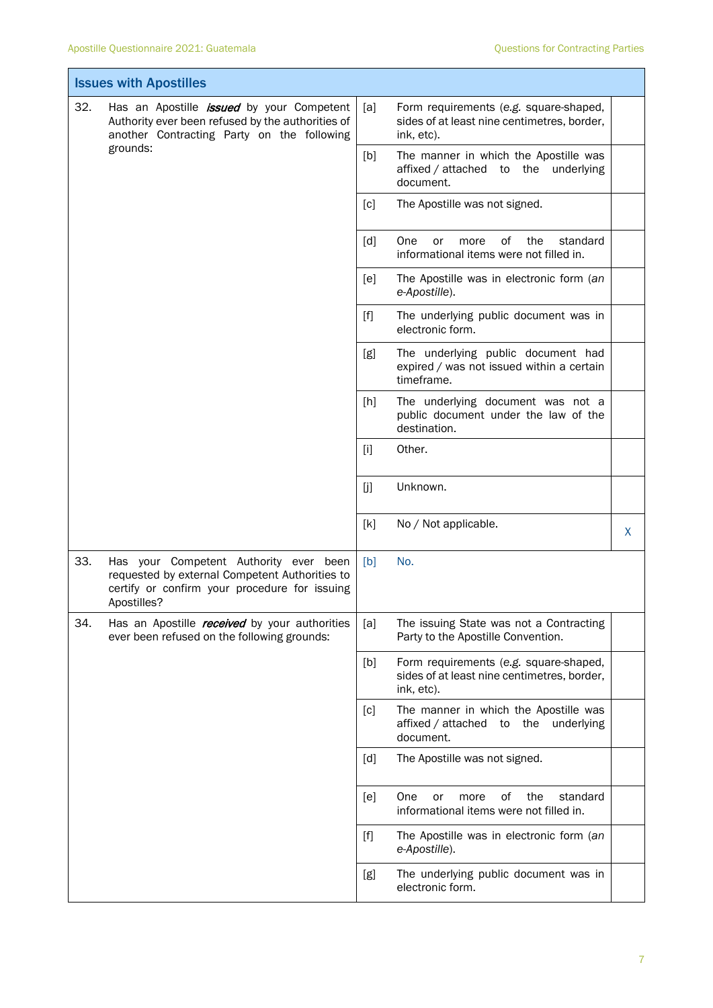|     | <b>Issues with Apostilles</b>                                                                                                                            |       |                                                                                                     |   |
|-----|----------------------------------------------------------------------------------------------------------------------------------------------------------|-------|-----------------------------------------------------------------------------------------------------|---|
| 32. | Has an Apostille <i>issued</i> by your Competent<br>Authority ever been refused by the authorities of<br>another Contracting Party on the following      | [a]   | Form requirements (e.g. square-shaped,<br>sides of at least nine centimetres, border,<br>ink, etc). |   |
|     | grounds:                                                                                                                                                 | [b]   | The manner in which the Apostille was<br>affixed / attached to the underlying<br>document.          |   |
|     |                                                                                                                                                          | [c]   | The Apostille was not signed.                                                                       |   |
|     |                                                                                                                                                          | [d]   | One<br>0f<br>the<br>standard<br>or<br>more<br>informational items were not filled in.               |   |
|     |                                                                                                                                                          | [e]   | The Apostille was in electronic form (an<br>e-Apostille).                                           |   |
|     |                                                                                                                                                          | $[f]$ | The underlying public document was in<br>electronic form.                                           |   |
|     |                                                                                                                                                          | [g]   | The underlying public document had<br>expired / was not issued within a certain<br>timeframe.       |   |
|     |                                                                                                                                                          | [h]   | The underlying document was not a<br>public document under the law of the<br>destination.           |   |
|     |                                                                                                                                                          | $[1]$ | Other.                                                                                              |   |
|     |                                                                                                                                                          | [j]   | Unknown.                                                                                            |   |
|     |                                                                                                                                                          | [k]   | No / Not applicable.                                                                                | X |
| 33. | Has your Competent Authority ever been<br>requested by external Competent Authorities to<br>certify or confirm your procedure for issuing<br>Apostilles? | [b]   | No.                                                                                                 |   |
| 34. | Has an Apostille <i>received</i> by your authorities<br>ever been refused on the following grounds:                                                      | [a]   | The issuing State was not a Contracting<br>Party to the Apostille Convention.                       |   |
|     |                                                                                                                                                          | [b]   | Form requirements (e.g. square-shaped,<br>sides of at least nine centimetres, border,<br>ink, etc). |   |
|     |                                                                                                                                                          | [c]   | The manner in which the Apostille was<br>affixed / attached to the underlying<br>document.          |   |
|     |                                                                                                                                                          | [d]   | The Apostille was not signed.                                                                       |   |
|     |                                                                                                                                                          | [e]   | One<br>of<br>the<br>standard<br>or<br>more<br>informational items were not filled in.               |   |
|     |                                                                                                                                                          |       | The Apostille was in electronic form (an<br>e-Apostille).                                           |   |
|     |                                                                                                                                                          | [g]   | The underlying public document was in<br>electronic form.                                           |   |